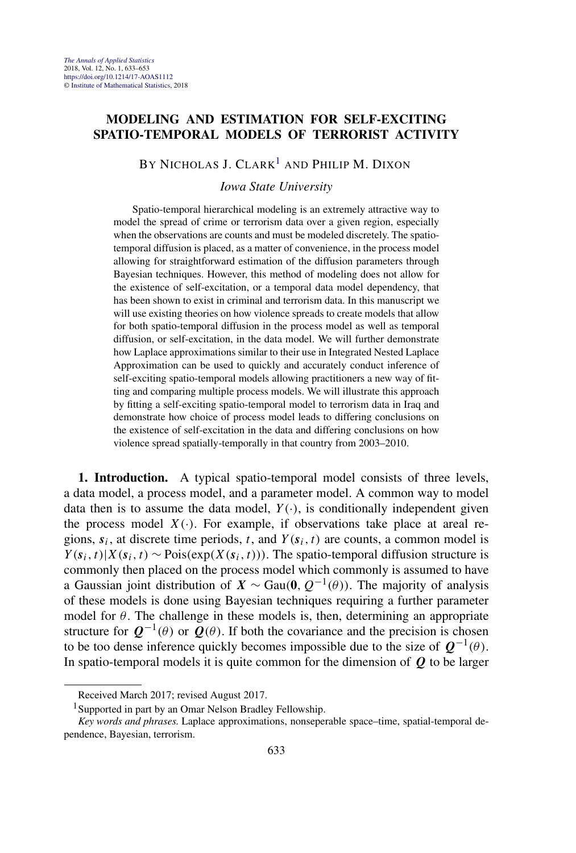## **MODELING AND ESTIMATION FOR SELF-EXCITING SPATIO-TEMPORAL MODELS OF TERRORIST ACTIVITY**

BY NICHOLAS J.  $CLARK<sup>1</sup>$  and Philip M. DIXON

*Iowa State University*

Spatio-temporal hierarchical modeling is an extremely attractive way to model the spread of crime or terrorism data over a given region, especially when the observations are counts and must be modeled discretely. The spatiotemporal diffusion is placed, as a matter of convenience, in the process model allowing for straightforward estimation of the diffusion parameters through Bayesian techniques. However, this method of modeling does not allow for the existence of self-excitation, or a temporal data model dependency, that has been shown to exist in criminal and terrorism data. In this manuscript we will use existing theories on how violence spreads to create models that allow for both spatio-temporal diffusion in the process model as well as temporal diffusion, or self-excitation, in the data model. We will further demonstrate how Laplace approximations similar to their use in Integrated Nested Laplace Approximation can be used to quickly and accurately conduct inference of self-exciting spatio-temporal models allowing practitioners a new way of fitting and comparing multiple process models. We will illustrate this approach by fitting a self-exciting spatio-temporal model to terrorism data in Iraq and demonstrate how choice of process model leads to differing conclusions on the existence of self-excitation in the data and differing conclusions on how violence spread spatially-temporally in that country from 2003–2010.

**1. Introduction.** A typical spatio-temporal model consists of three levels, a data model, a process model, and a parameter model. A common way to model data then is to assume the data model,  $Y(\cdot)$ , is conditionally independent given the process model  $X(\cdot)$ . For example, if observations take place at areal regions,  $s_i$ , at discrete time periods, *t*, and  $Y(s_i, t)$  are counts, a common model is  $Y(s_i, t) | X(s_i, t) \sim \text{Pois}(\exp(X(s_i, t)))$ . The spatio-temporal diffusion structure is commonly then placed on the process model which commonly is assumed to have a Gaussian joint distribution of  $X \sim \text{Gau}(0, Q^{-1}(\theta))$ . The majority of analysis of these models is done using Bayesian techniques requiring a further parameter model for  $\theta$ . The challenge in these models is, then, determining an appropriate structure for  $Q^{-1}(\theta)$  or  $Q(\theta)$ . If both the covariance and the precision is chosen to be too dense inference quickly becomes impossible due to the size of  $Q^{-1}(\theta)$ . In spatio-temporal models it is quite common for the dimension of *Q* to be larger

Received March 2017; revised August 2017.

<sup>&</sup>lt;sup>1</sup>Supported in part by an Omar Nelson Bradley Fellowship.

*Key words and phrases.* Laplace approximations, nonseperable space–time, spatial-temporal dependence, Bayesian, terrorism.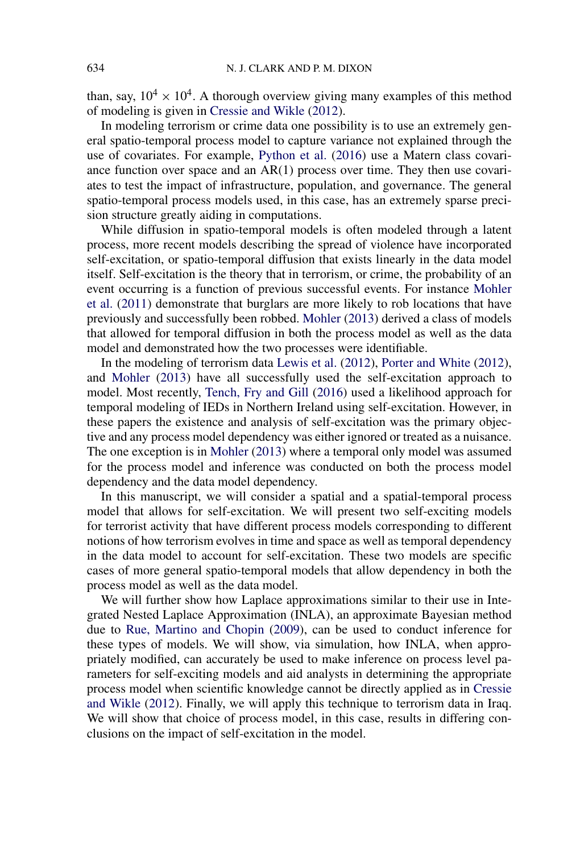than, say,  $10^4 \times 10^4$ . A thorough overview giving many examples of this method of modeling is given in [Cressie and Wikle](#page-18-0) [\(2012\)](#page-18-0).

In modeling terrorism or crime data one possibility is to use an extremely general spatio-temporal process model to capture variance not explained through the use of covariates. For example, [Python et al.](#page-19-0) [\(2016\)](#page-19-0) use a Matern class covariance function over space and an AR(1) process over time. They then use covariates to test the impact of infrastructure, population, and governance. The general spatio-temporal process models used, in this case, has an extremely sparse precision structure greatly aiding in computations.

While diffusion in spatio-temporal models is often modeled through a latent process, more recent models describing the spread of violence have incorporated self-excitation, or spatio-temporal diffusion that exists linearly in the data model itself. Self-excitation is the theory that in terrorism, or crime, the probability of an event occurring is a function of previous successful events. For instance [Mohler](#page-19-0) [et al.](#page-19-0) [\(2011\)](#page-19-0) demonstrate that burglars are more likely to rob locations that have previously and successfully been robbed. [Mohler](#page-19-0) [\(2013\)](#page-19-0) derived a class of models that allowed for temporal diffusion in both the process model as well as the data model and demonstrated how the two processes were identifiable.

In the modeling of terrorism data [Lewis et al.](#page-19-0) [\(2012\)](#page-19-0), [Porter and White](#page-19-0) [\(2012\)](#page-19-0), and [Mohler](#page-19-0) [\(2013\)](#page-19-0) have all successfully used the self-excitation approach to model. Most recently, [Tench, Fry and Gill](#page-19-0) [\(2016\)](#page-19-0) used a likelihood approach for temporal modeling of IEDs in Northern Ireland using self-excitation. However, in these papers the existence and analysis of self-excitation was the primary objective and any process model dependency was either ignored or treated as a nuisance. The one exception is in [Mohler](#page-19-0) [\(2013\)](#page-19-0) where a temporal only model was assumed for the process model and inference was conducted on both the process model dependency and the data model dependency.

In this manuscript, we will consider a spatial and a spatial-temporal process model that allows for self-excitation. We will present two self-exciting models for terrorist activity that have different process models corresponding to different notions of how terrorism evolves in time and space as well as temporal dependency in the data model to account for self-excitation. These two models are specific cases of more general spatio-temporal models that allow dependency in both the process model as well as the data model.

We will further show how Laplace approximations similar to their use in Integrated Nested Laplace Approximation (INLA), an approximate Bayesian method due to [Rue, Martino and Chopin](#page-19-0) [\(2009\)](#page-19-0), can be used to conduct inference for these types of models. We will show, via simulation, how INLA, when appropriately modified, can accurately be used to make inference on process level parameters for self-exciting models and aid analysts in determining the appropriate process model when scientific knowledge cannot be directly applied as in [Cressie](#page-18-0) [and Wikle](#page-18-0) [\(2012\)](#page-18-0). Finally, we will apply this technique to terrorism data in Iraq. We will show that choice of process model, in this case, results in differing conclusions on the impact of self-excitation in the model.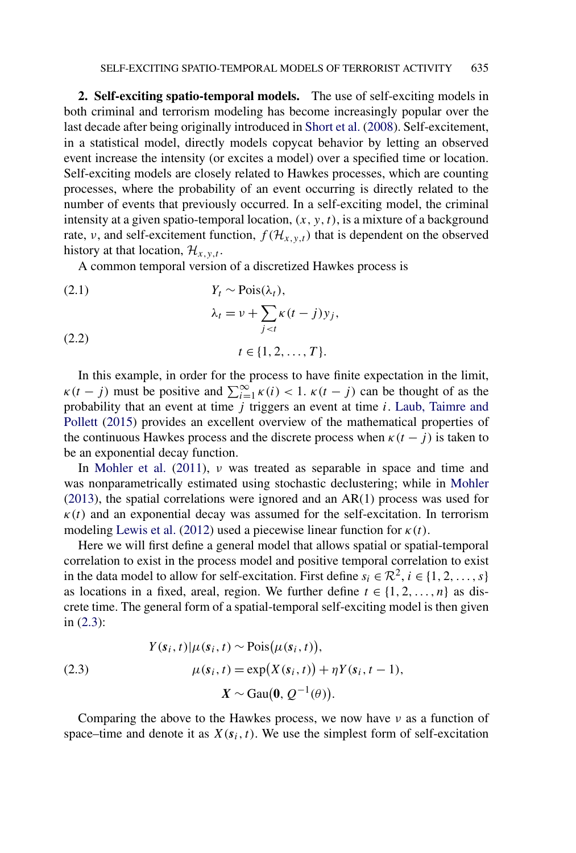<span id="page-2-0"></span>**2. Self-exciting spatio-temporal models.** The use of self-exciting models in both criminal and terrorism modeling has become increasingly popular over the last decade after being originally introduced in [Short et al.](#page-19-0) [\(2008\)](#page-19-0). Self-excitement, in a statistical model, directly models copycat behavior by letting an observed event increase the intensity (or excites a model) over a specified time or location. Self-exciting models are closely related to Hawkes processes, which are counting processes, where the probability of an event occurring is directly related to the number of events that previously occurred. In a self-exciting model, the criminal intensity at a given spatio-temporal location,  $(x, y, t)$ , is a mixture of a background rate, *ν*, and self-excitement function,  $f(\mathcal{H}_{x,y,t})$  that is dependent on the observed history at that location,  $\mathcal{H}_{x,y,t}$ .

A common temporal version of a discretized Hawkes process is

 $(Y_t \sim \text{Pois}(\lambda_t)),$  $λ_t = ν + Σ$ *j<t*  $\kappa(t-j)y_j$ , (2.2)  $t \in \{1, 2, \ldots, T\}.$ 

In this example, in order for the process to have finite expectation in the limit,  $\kappa(t-j)$  must be positive and  $\sum_{i=1}^{\infty} \kappa(i) < 1$ .  $\kappa(t-j)$  can be thought of as the probability that an event at time *j* triggers an event at time *i*. [Laub, Taimre and](#page-19-0) [Pollett](#page-19-0) [\(2015\)](#page-19-0) provides an excellent overview of the mathematical properties of the continuous Hawkes process and the discrete process when  $\kappa(t - j)$  is taken to be an exponential decay function.

In [Mohler et al.](#page-19-0) [\(2011\)](#page-19-0), *ν* was treated as separable in space and time and was nonparametrically estimated using stochastic declustering; while in [Mohler](#page-19-0) [\(2013\)](#page-19-0), the spatial correlations were ignored and an AR(1) process was used for  $\kappa(t)$  and an exponential decay was assumed for the self-excitation. In terrorism modeling [Lewis et al.](#page-19-0) [\(2012\)](#page-19-0) used a piecewise linear function for  $\kappa(t)$ .

Here we will first define a general model that allows spatial or spatial-temporal correlation to exist in the process model and positive temporal correlation to exist in the data model to allow for self-excitation. First define  $s_i \in \mathbb{R}^2$ ,  $i \in \{1, 2, ..., s\}$ as locations in a fixed, areal, region. We further define  $t \in \{1, 2, ..., n\}$  as discrete time. The general form of a spatial-temporal self-exciting model is then given in (2.3):

(2.3)  
\n
$$
Y(s_i, t) | \mu(s_i, t) \sim \text{Pois}(\mu(s_i, t)),
$$
\n
$$
\mu(s_i, t) = \exp(X(s_i, t)) + \eta Y(s_i, t - 1),
$$
\n
$$
X \sim \text{Gau}(\mathbf{0}, Q^{-1}(\theta)).
$$

Comparing the above to the Hawkes process, we now have *ν* as a function of space–time and denote it as  $X(s_i, t)$ . We use the simplest form of self-excitation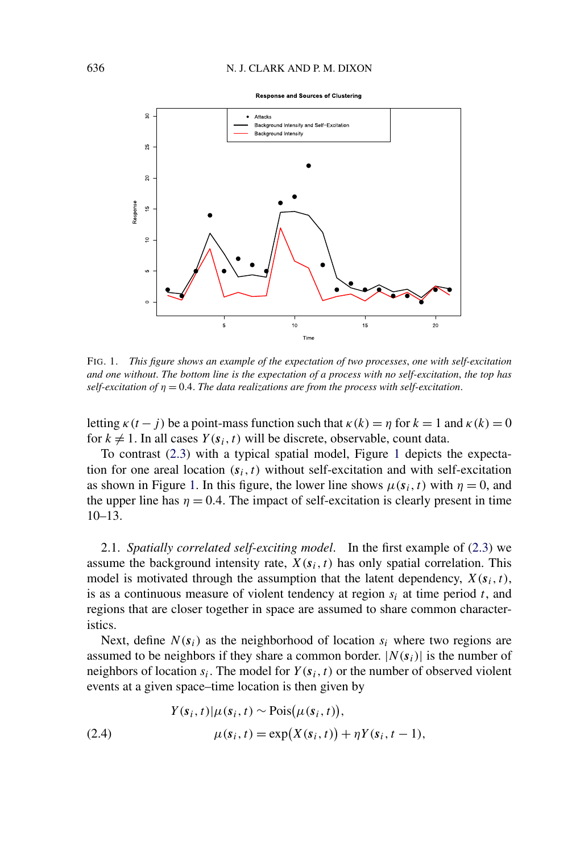**Response and Sources of Clustering** 

<span id="page-3-0"></span>

FIG. 1. *This figure shows an example of the expectation of two processes*, *one with self-excitation and one without*. *The bottom line is the expectation of a process with no self-excitation*, *the top has self-excitation of η* = 0*.*4. *The data realizations are from the process with self-excitation*.

letting  $\kappa(t-j)$  be a point-mass function such that  $\kappa(k) = \eta$  for  $k = 1$  and  $\kappa(k) = 0$ for  $k \neq 1$ . In all cases  $Y(s_i, t)$  will be discrete, observable, count data.

To contrast [\(2.3\)](#page-2-0) with a typical spatial model, Figure 1 depicts the expectation for one areal location  $(s_i, t)$  without self-excitation and with self-excitation as shown in Figure 1. In this figure, the lower line shows  $\mu(s_i, t)$  with  $\eta = 0$ , and the upper line has  $\eta = 0.4$ . The impact of self-excitation is clearly present in time  $10-13.$ 

2.1. *Spatially correlated self-exciting model*. In the first example of [\(2.3\)](#page-2-0) we assume the background intensity rate,  $X(s_i, t)$  has only spatial correlation. This model is motivated through the assumption that the latent dependency,  $X(s_i, t)$ , is as a continuous measure of violent tendency at region *si* at time period *t*, and regions that are closer together in space are assumed to share common characteristics.

Next, define  $N(s_i)$  as the neighborhood of location  $s_i$  where two regions are assumed to be neighbors if they share a common border.  $|N(s_i)|$  is the number of neighbors of location  $s_i$ . The model for  $Y(s_i, t)$  or the number of observed violent events at a given space–time location is then given by

(2.4) 
$$
Y(s_i, t) | \mu(s_i, t) \sim \text{Pois}(\mu(s_i, t)),
$$

$$
\mu(s_i, t) = \exp(X(s_i, t)) + \eta Y(s_i, t - 1),
$$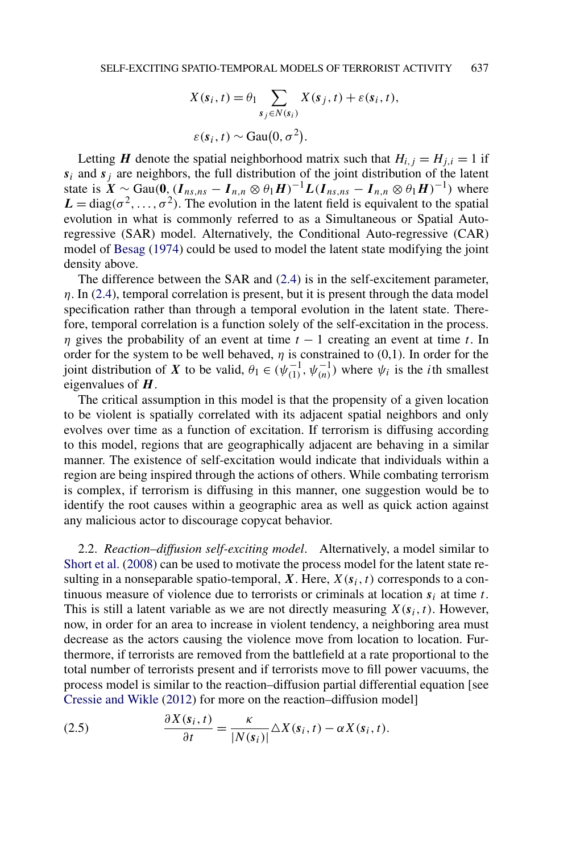$$
X(s_i, t) = \theta_1 \sum_{s_j \in N(s_i)} X(s_j, t) + \varepsilon(s_i, t),
$$
  

$$
\varepsilon(s_i, t) \sim \text{Gau}(0, \sigma^2).
$$

<span id="page-4-0"></span>Letting *H* denote the spatial neighborhood matrix such that  $H_{i,j} = H_{j,i} = 1$  if  $s_i$  and  $s_j$  are neighbors, the full distribution of the joint distribution of the latent state is  $X \sim$  Gau $(0, (I_{ns,ns} - I_{n,n} \otimes \theta_1 H)^{-1}L(I_{ns,ns} - I_{n,n} \otimes \theta_1 H)^{-1})$  where  $L = diag(\sigma^2, \ldots, \sigma^2)$ . The evolution in the latent field is equivalent to the spatial evolution in what is commonly referred to as a Simultaneous or Spatial Autoregressive (SAR) model. Alternatively, the Conditional Auto-regressive (CAR) model of [Besag](#page-18-0) [\(1974\)](#page-18-0) could be used to model the latent state modifying the joint density above.

The difference between the SAR and [\(2.4\)](#page-3-0) is in the self-excitement parameter, *η*. In [\(2.4\)](#page-3-0), temporal correlation is present, but it is present through the data model specification rather than through a temporal evolution in the latent state. Therefore, temporal correlation is a function solely of the self-excitation in the process. *η* gives the probability of an event at time *t* − 1 creating an event at time *t*. In order for the system to be well behaved,  $\eta$  is constrained to (0,1). In order for the joint distribution of *X* to be valid,  $\theta_1 \in (\psi_{(1)}^{-1}, \psi_{(n)}^{-1})$  where  $\psi_i$  is the *i*th smallest eigenvalues of *H* .

The critical assumption in this model is that the propensity of a given location to be violent is spatially correlated with its adjacent spatial neighbors and only evolves over time as a function of excitation. If terrorism is diffusing according to this model, regions that are geographically adjacent are behaving in a similar manner. The existence of self-excitation would indicate that individuals within a region are being inspired through the actions of others. While combating terrorism is complex, if terrorism is diffusing in this manner, one suggestion would be to identify the root causes within a geographic area as well as quick action against any malicious actor to discourage copycat behavior.

2.2. *Reaction–diffusion self-exciting model*. Alternatively, a model similar to [Short et al.](#page-19-0) [\(2008\)](#page-19-0) can be used to motivate the process model for the latent state resulting in a nonseparable spatio-temporal,  $X$ . Here,  $X(s_i, t)$  corresponds to a continuous measure of violence due to terrorists or criminals at location  $s_i$  at time  $t$ . This is still a latent variable as we are not directly measuring  $X(s_i, t)$ . However, now, in order for an area to increase in violent tendency, a neighboring area must decrease as the actors causing the violence move from location to location. Furthermore, if terrorists are removed from the battlefield at a rate proportional to the total number of terrorists present and if terrorists move to fill power vacuums, the process model is similar to the reaction–diffusion partial differential equation [see [Cressie and Wikle](#page-18-0) [\(2012\)](#page-18-0) for more on the reaction–diffusion model]

(2.5) 
$$
\frac{\partial X(s_i, t)}{\partial t} = \frac{\kappa}{|N(s_i)|} \Delta X(s_i, t) - \alpha X(s_i, t).
$$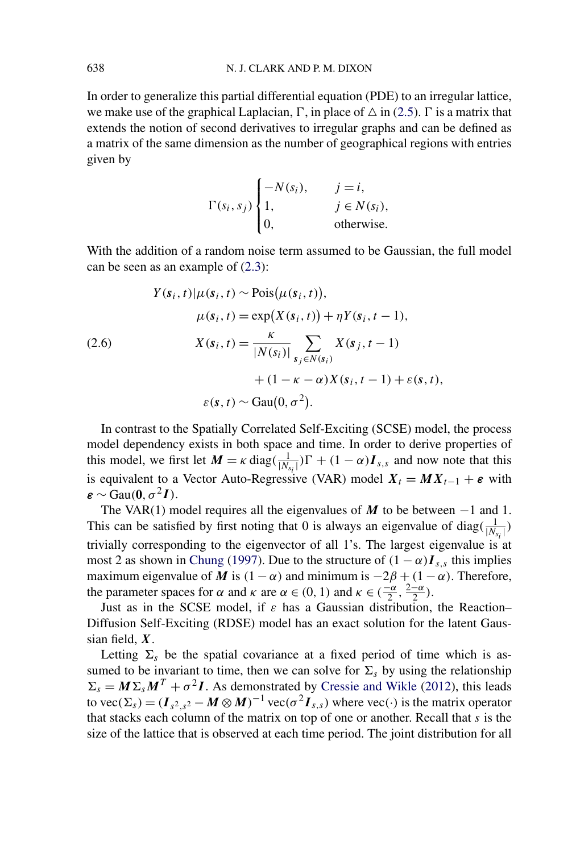In order to generalize this partial differential equation (PDE) to an irregular lattice, we make use of the graphical Laplacian,  $\Gamma$ , in place of  $\Delta$  in [\(2.5\)](#page-4-0).  $\Gamma$  is a matrix that extends the notion of second derivatives to irregular graphs and can be defined as a matrix of the same dimension as the number of geographical regions with entries given by

$$
\Gamma(s_i, s_j) \begin{cases}\n-N(s_i), & j = i, \\
1, & j \in N(s_i), \\
0, & \text{otherwise.} \n\end{cases}
$$

With the addition of a random noise term assumed to be Gaussian, the full model can be seen as an example of [\(2.3\)](#page-2-0):

$$
Y(s_i, t)|\mu(s_i, t) \sim \text{Pois}(\mu(s_i, t)),
$$

$$
\mu(s_i, t) = \exp(X(s_i, t)) + \eta Y(s_i, t - 1),
$$

$$
X(s_i, t) = \frac{\kappa}{|N(s_i)|} \sum_{s_j \in N(s_i)} X(s_j, t - 1)
$$

$$
+ (1 - \kappa - \alpha)X(s_i, t - 1) + \varepsilon(s, t),
$$

$$
\varepsilon(s, t) \sim \text{Gau}(0, \sigma^2).
$$

In contrast to the Spatially Correlated Self-Exciting (SCSE) model, the process model dependency exists in both space and time. In order to derive properties of this model, we first let  $M = \kappa \text{ diag}(\frac{1}{|N_{s_i}|})\Gamma + (1 - \alpha)I_{s,s}$  and now note that this is equivalent to a Vector Auto-Regressive (VAR) model  $X_t = MX_{t-1} + \varepsilon$  with  $\boldsymbol{\varepsilon} \sim$  Gau $(\boldsymbol{0}, \sigma^2 \boldsymbol{I})$ .

The VAR(1) model requires all the eigenvalues of *M* to be between −1 and 1. This can be satisfied by first noting that 0 is always an eigenvalue of diag $(\frac{1}{|N_{s_i}|})$ trivially corresponding to the eigenvector of all 1's. The largest eigenvalue is at most 2 as shown in [Chung](#page-18-0) [\(1997\)](#page-18-0). Due to the structure of  $(1 - \alpha)I_{s,s}$  this implies maximum eigenvalue of *M* is  $(1 - \alpha)$  and minimum is  $-2\beta + (1 - \alpha)$ . Therefore, the parameter spaces for  $\alpha$  and  $\kappa$  are  $\alpha \in (0, 1)$  and  $\kappa \in (\frac{-\alpha}{2}, \frac{2-\alpha}{2})$ .

Just as in the SCSE model, if *ε* has a Gaussian distribution, the Reaction– Diffusion Self-Exciting (RDSE) model has an exact solution for the latent Gaussian field, *X*.

Letting  $\Sigma_s$  be the spatial covariance at a fixed period of time which is assumed to be invariant to time, then we can solve for  $\Sigma_s$  by using the relationship  $\Sigma_s = M \Sigma_s M^T + \sigma^2 I$ . As demonstrated by [Cressie and Wikle](#page-18-0) [\(2012\)](#page-18-0), this leads to vec( $\Sigma_s$ ) =  $(I_{s^2}I_s^2 - M \otimes M)^{-1}$  vec( $\sigma^2 I_{s,s}$ ) where vec(·) is the matrix operator that stacks each column of the matrix on top of one or another. Recall that *s* is the size of the lattice that is observed at each time period. The joint distribution for all

<span id="page-5-0"></span>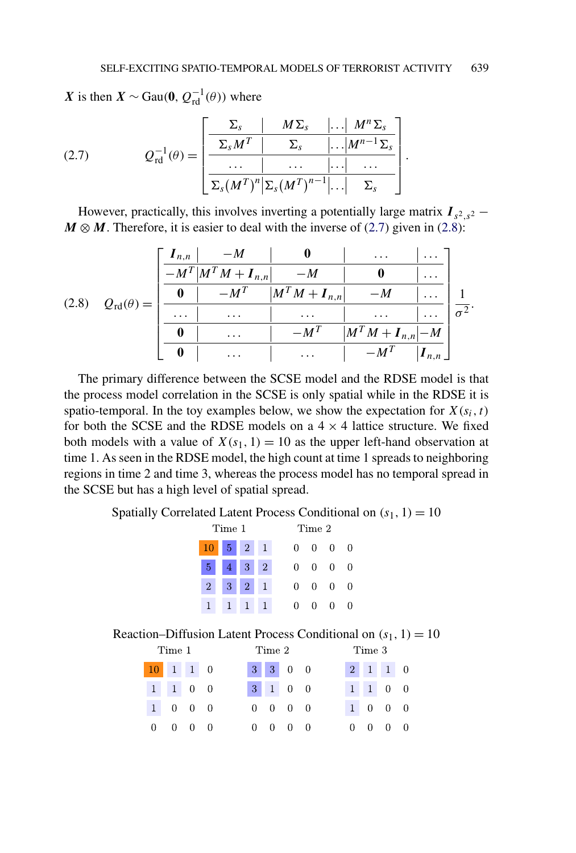*.*

<span id="page-6-0"></span>*X* is then *X* ∼ Gau(0,  $Q_{\text{rd}}^{-1}(\theta)$ ) where

(2.7) 
$$
Q_{\text{rd}}^{-1}(\theta) = \left[ \begin{array}{c|c} \Sigma_s & M \Sigma_s & \dots & M^n \Sigma_s \\ \hline \Sigma_s M^T & \Sigma_s & \dots & M^{n-1} \Sigma_s \\ \hline \dots & \dots & \dots & \dots \\ \hline \Sigma_s (M^T)^n |\Sigma_s (M^T)^{n-1} | \dots & \Sigma_s \end{array} \right]
$$

However, practically, this involves inverting a potentially large matrix  $I_{s^2,s^2}$  −  $M \otimes M$ . Therefore, it is easier to deal with the inverse of (2.7) given in (2.8):

|       |                      | $\mathbf{I}_{n,n}$ | $-M$                                    |                     | $\cdots$                         | $\cdots$           |            |
|-------|----------------------|--------------------|-----------------------------------------|---------------------|----------------------------------|--------------------|------------|
|       |                      |                    | $-M^T$ $\left  M^T M + I_{n,n} \right $ | $-M$                |                                  | $\cdots$           |            |
| (2.8) | $Q_{\rm rd}(\theta)$ |                    | $-M^T$                                  | $ M^T M + I_{n,n} $ | $-M$                             | $\cdots$           |            |
|       | $=$                  | $\cdots$           | $\cdots$                                | $\cdots$            | $\cdots$                         | $\cdots$           | $\sigma^2$ |
|       |                      |                    | $\cdots$                                | $-MT$               | $\left M^T M + I_{n,n}\right -M$ |                    |            |
|       |                      |                    | $\cdots$                                | $\cdots$            |                                  | $\mathbf{I}_{n,n}$ |            |

The primary difference between the SCSE model and the RDSE model is that the process model correlation in the SCSE is only spatial while in the RDSE it is spatio-temporal. In the toy examples below, we show the expectation for  $X(s_i, t)$ for both the SCSE and the RDSE models on a  $4 \times 4$  lattice structure. We fixed both models with a value of  $X(s_1, 1) = 10$  as the upper left-hand observation at time 1. As seen in the RDSE model, the high count at time 1 spreads to neighboring regions in time 2 and time 3, whereas the process model has no temporal spread in the SCSE but has a high level of spatial spread.

Spatially Correlated Latent Process Conditional on  $(s_1, 1) = 10$ 

| Time 1         |                    |                 |                |   | Time 2       |        |          |
|----------------|--------------------|-----------------|----------------|---|--------------|--------|----------|
|                | $10 \mid 5 \mid 2$ |                 | $\mathbf{1}$   | 0 | 0            | 0      | $\theta$ |
| $5-1$          | $4 \vert 3 \vert$  |                 | $\overline{2}$ | 0 | 0            | 0      | $\theta$ |
| $\overline{2}$ | 3 <sup>1</sup>     | $\vert 2 \vert$ |                | 0 | 0            | 0      | $\Omega$ |
| 1              | 1                  |                 |                | 0 | $\mathbf{0}$ | $\cup$ | $\cup$   |

Reaction–Diffusion Latent Process Conditional on  $(s_1, 1) = 10$ 

| Time 1     |                             | Time 2 |                                                                         |  |                             | Time 3 |  |  |                             |  |
|------------|-----------------------------|--------|-------------------------------------------------------------------------|--|-----------------------------|--------|--|--|-----------------------------|--|
| $10$ 1 1 0 |                             |        | $\begin{array}{ c c c c c } \hline 3 & 3 & 0 & 0 \\ \hline \end{array}$ |  |                             |        |  |  |                             |  |
|            | $1 \quad 1 \quad 0 \quad 0$ |        |                                                                         |  | $3 \quad 1 \quad 0 \quad 0$ |        |  |  | $1 \quad 1 \quad 0 \quad 0$ |  |
|            | $1 \quad 0 \quad 0 \quad 0$ |        |                                                                         |  | $0\quad 0\quad 0\quad 0$    |        |  |  | $1 \quad 0 \quad 0 \quad 0$ |  |
|            | $0 \quad 0 \quad 0 \quad 0$ |        |                                                                         |  | $0 \quad 0 \quad 0 \quad 0$ |        |  |  | $0 \t 0 \t 0 \t 0$          |  |
|            |                             |        |                                                                         |  |                             |        |  |  |                             |  |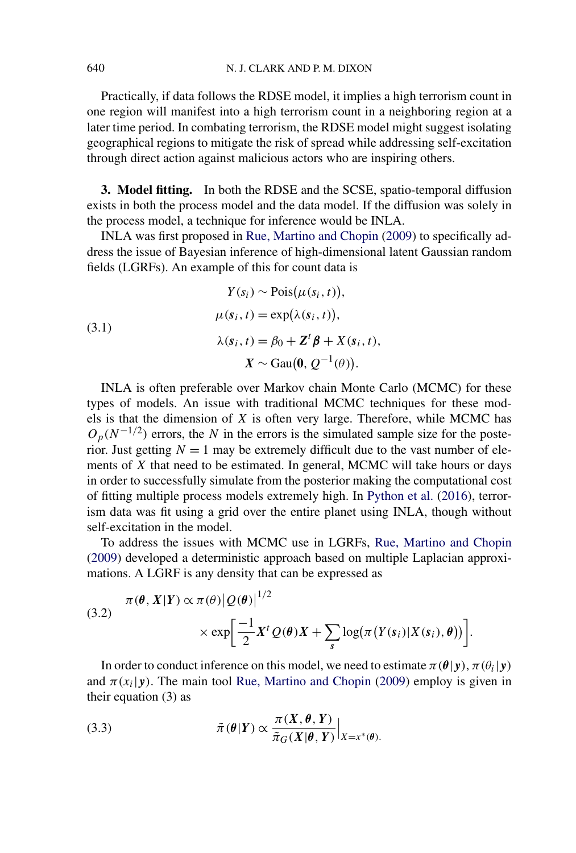<span id="page-7-0"></span>Practically, if data follows the RDSE model, it implies a high terrorism count in one region will manifest into a high terrorism count in a neighboring region at a later time period. In combating terrorism, the RDSE model might suggest isolating geographical regions to mitigate the risk of spread while addressing self-excitation through direct action against malicious actors who are inspiring others.

**3. Model fitting.** In both the RDSE and the SCSE, spatio-temporal diffusion exists in both the process model and the data model. If the diffusion was solely in the process model, a technique for inference would be INLA.

INLA was first proposed in [Rue, Martino and Chopin](#page-19-0) [\(2009\)](#page-19-0) to specifically address the issue of Bayesian inference of high-dimensional latent Gaussian random fields (LGRFs). An example of this for count data is

(3.1)  
\n
$$
Y(s_i) \sim \text{Pois}(\mu(s_i, t)),
$$
\n
$$
\mu(s_i, t) = \exp(\lambda(s_i, t)),
$$
\n
$$
\lambda(s_i, t) = \beta_0 + \mathbf{Z}^t \boldsymbol{\beta} + X(s_i, t),
$$
\n
$$
X \sim \text{Gau}(\mathbf{0}, Q^{-1}(\theta)).
$$

INLA is often preferable over Markov chain Monte Carlo (MCMC) for these types of models. An issue with traditional MCMC techniques for these models is that the dimension of *X* is often very large. Therefore, while MCMC has  $O_p(N^{-1/2})$  errors, the *N* in the errors is the simulated sample size for the posterior. Just getting  $N = 1$  may be extremely difficult due to the vast number of elements of *X* that need to be estimated. In general, MCMC will take hours or days in order to successfully simulate from the posterior making the computational cost of fitting multiple process models extremely high. In [Python et al.](#page-19-0) [\(2016\)](#page-19-0), terrorism data was fit using a grid over the entire planet using INLA, though without self-excitation in the model.

To address the issues with MCMC use in LGRFs, [Rue, Martino and Chopin](#page-19-0) [\(2009\)](#page-19-0) developed a deterministic approach based on multiple Laplacian approximations. A LGRF is any density that can be expressed as

(3.2) 
$$
\pi(\theta, X|Y) \propto \pi(\theta) |Q(\theta)|^{1/2} \times \exp\left[\frac{-1}{2}X^tQ(\theta)X + \sum_s \log(\pi(Y(s_i)|X(s_i), \theta))\right].
$$

1*/*2

In order to conduct inference on this model, we need to estimate  $\pi(\theta|\mathbf{y})$ ,  $\pi(\theta_i|\mathbf{y})$ and  $\pi(x_i|y)$ . The main tool [Rue, Martino and Chopin](#page-19-0) [\(2009\)](#page-19-0) employ is given in their equation (3) as

(3.3) 
$$
\tilde{\pi}(\theta|Y) \propto \frac{\pi(X, \theta, Y)}{\tilde{\pi}_G(X|\theta, Y)}\Big|_{X=x^*(\theta)}.
$$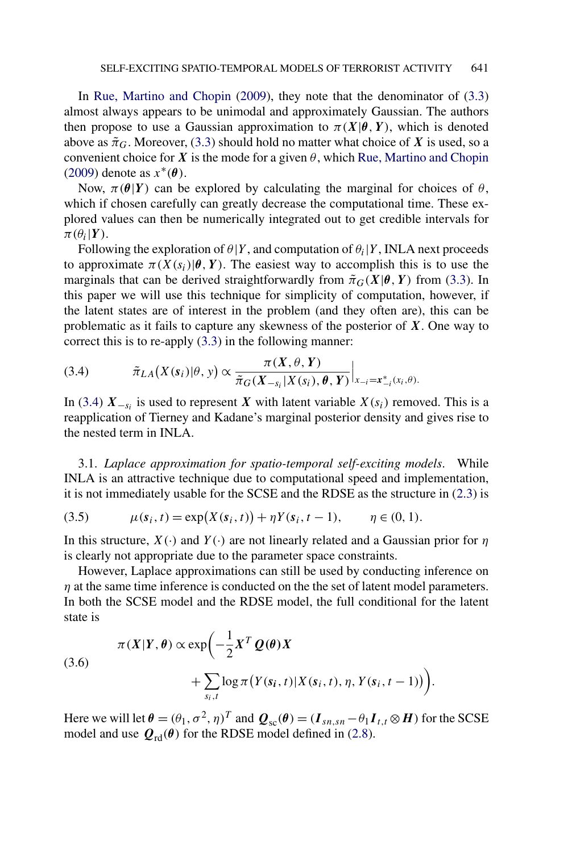<span id="page-8-0"></span>In [Rue, Martino and Chopin](#page-19-0) [\(2009\)](#page-19-0), they note that the denominator of [\(3.3\)](#page-7-0) almost always appears to be unimodal and approximately Gaussian. The authors then propose to use a Gaussian approximation to  $\pi(X|\theta, Y)$ , which is denoted above as  $\tilde{\pi}_G$ . Moreover, [\(3.3\)](#page-7-0) should hold no matter what choice of X is used, so a convenient choice for *X* is the mode for a given  $\theta$ , which [Rue, Martino and Chopin](#page-19-0) [\(2009\)](#page-19-0) denote as *x*∗*(θ)*.

Now,  $\pi(\theta|Y)$  can be explored by calculating the marginal for choices of  $\theta$ , which if chosen carefully can greatly decrease the computational time. These explored values can then be numerically integrated out to get credible intervals for  $\pi(\theta_i|Y)$ .

Following the exploration of  $\theta|Y$ , and computation of  $\theta_i|Y$ , INLA next proceeds to approximate  $\pi(X(s_i)|\theta, Y)$ . The easiest way to accomplish this is to use the marginals that can be derived straightforwardly from  $\tilde{\pi}_G(X|\theta, Y)$  from [\(3.3\)](#page-7-0). In this paper we will use this technique for simplicity of computation, however, if the latent states are of interest in the problem (and they often are), this can be problematic as it fails to capture any skewness of the posterior of *X*. One way to correct this is to re-apply [\(3.3\)](#page-7-0) in the following manner:

(3.4) 
$$
\tilde{\pi}_{LA}(X(s_i)|\theta, y) \propto \frac{\pi(X, \theta, Y)}{\tilde{\pi}_G(X_{-s_i}|X(s_i), \theta, Y)}\Big|_{x_{-i} = x_{-i}^*(x_i, \theta)}.
$$

In (3.4)  $X_{-s_i}$  is used to represent *X* with latent variable  $X(s_i)$  removed. This is a reapplication of Tierney and Kadane's marginal posterior density and gives rise to the nested term in INLA.

3.1. *Laplace approximation for spatio-temporal self-exciting models*. While INLA is an attractive technique due to computational speed and implementation, it is not immediately usable for the SCSE and the RDSE as the structure in [\(2.3\)](#page-2-0) is

(3.5) 
$$
\mu(s_i, t) = \exp(X(s_i, t)) + \eta Y(s_i, t - 1), \qquad \eta \in (0, 1).
$$

In this structure, *X(*·*)* and *Y(*·*)* are not linearly related and a Gaussian prior for *η* is clearly not appropriate due to the parameter space constraints.

However, Laplace approximations can still be used by conducting inference on *η* at the same time inference is conducted on the the set of latent model parameters. In both the SCSE model and the RDSE model, the full conditional for the latent state is

(3.6)  

$$
\pi(X|Y,\theta) \propto \exp\left(-\frac{1}{2}X^T Q(\theta)X + \sum_{s_i,t} \log \pi(Y(s_i,t)|X(s_i,t), \eta, Y(s_i,t-1))\right).
$$

Here we will let  $\theta = (\theta_1, \sigma^2, \eta)^T$  and  $Q_{sc}(\theta) = (I_{sn,sn} - \theta_1 I_{t,t} \otimes H)$  for the SCSE model and use  $Q_{\text{rd}}(\theta)$  for the RDSE model defined in [\(2.8\)](#page-6-0).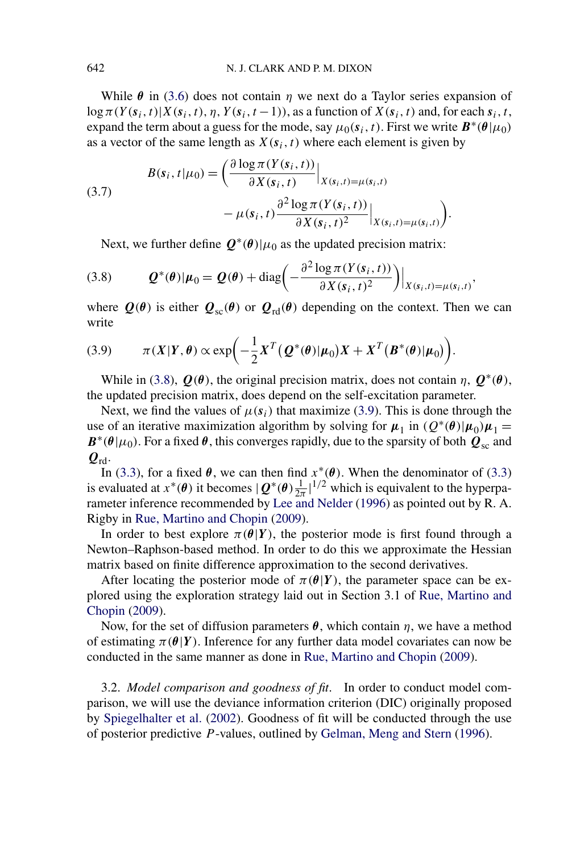<span id="page-9-0"></span>While  $\theta$  in [\(3.6\)](#page-8-0) does not contain  $\eta$  we next do a Taylor series expansion of  $\log \pi(Y(\mathbf{s}_i, t)|X(\mathbf{s}_i, t), \eta, Y(\mathbf{s}_i, t-1))$ , as a function of  $X(\mathbf{s}_i, t)$  and, for each  $\mathbf{s}_i, t$ , expand the term about a guess for the mode, say  $\mu_0(s_i, t)$ . First we write  $B^*(\theta|\mu_0)$ as a vector of the same length as  $X(s_i, t)$  where each element is given by

(3.7)  

$$
B(s_i, t | \mu_0) = \left( \frac{\partial \log \pi(Y(s_i, t))}{\partial X(s_i, t)} \Big|_{X(s_i, t) = \mu(s_i, t)} - \mu(s_i, t) \frac{\partial^2 \log \pi(Y(s_i, t))}{\partial X(s_i, t)^2} \Big|_{X(s_i, t) = \mu(s_i, t)} \right).
$$

Next, we further define  $Q^*(\theta)|\mu_0$  as the updated precision matrix:

(3.8) 
$$
\mathbf{Q}^*(\boldsymbol{\theta})|\boldsymbol{\mu}_0 = \mathbf{Q}(\boldsymbol{\theta}) + \text{diag}\bigg(-\frac{\partial^2 \log \pi(Y(\mathbf{s}_i, t))}{\partial X(\mathbf{s}_i, t)^2}\bigg)\bigg|_{X(\mathbf{s}_i, t) = \mu(\mathbf{s}_i, t)},
$$

where  $Q(\theta)$  is either  $Q_{sc}(\theta)$  or  $Q_{rd}(\theta)$  depending on the context. Then we can write

(3.9) 
$$
\pi(X|Y,\theta) \propto \exp\biggl(-\frac{1}{2}X^T(Q^*(\theta)|\mu_0)X + X^T(B^*(\theta)|\mu_0)\biggr).
$$

While in (3.8),  $\mathbf{Q}(\theta)$ , the original precision matrix, does not contain  $\eta$ ,  $\mathbf{Q}^*(\theta)$ , the updated precision matrix, does depend on the self-excitation parameter.

Next, we find the values of  $\mu(s_i)$  that maximize (3.9). This is done through the use of an iterative maximization algorithm by solving for  $\mu_1$  in  $(Q^*(\theta)|\mu_0)\mu_1 =$  $B^*(\theta|\mu_0)$ . For a fixed  $\theta$ , this converges rapidly, due to the sparsity of both  $Q_{sc}$  and  $\boldsymbol{Q}_{\text{rd}}$ .

In [\(3.3\)](#page-7-0), for a fixed  $\theta$ , we can then find  $x^*(\theta)$ . When the denominator of (3.3) is evaluated at  $x^*(\theta)$  it becomes  $|Q^*(\theta)\frac{1}{2\pi}|^{1/2}$  which is equivalent to the hyperparameter inference recommended by [Lee and Nelder](#page-19-0) [\(1996\)](#page-19-0) as pointed out by R. A. Rigby in [Rue, Martino and Chopin](#page-19-0) [\(2009\)](#page-19-0).

In order to best explore  $\pi(\theta|Y)$ , the posterior mode is first found through a Newton–Raphson-based method. In order to do this we approximate the Hessian matrix based on finite difference approximation to the second derivatives.

After locating the posterior mode of  $\pi(\theta|Y)$ , the parameter space can be explored using the exploration strategy laid out in Section 3.1 of [Rue, Martino and](#page-19-0) [Chopin](#page-19-0) [\(2009\)](#page-19-0).

Now, for the set of diffusion parameters  $\theta$ , which contain  $\eta$ , we have a method of estimating  $\pi(\theta|Y)$ . Inference for any further data model covariates can now be conducted in the same manner as done in [Rue, Martino and Chopin](#page-19-0) [\(2009\)](#page-19-0).

3.2. *Model comparison and goodness of fit*. In order to conduct model comparison, we will use the deviance information criterion (DIC) originally proposed by [Spiegelhalter et al.](#page-19-0) [\(2002\)](#page-19-0). Goodness of fit will be conducted through the use of posterior predictive *P* -values, outlined by [Gelman, Meng and Stern](#page-18-0) [\(1996\)](#page-18-0).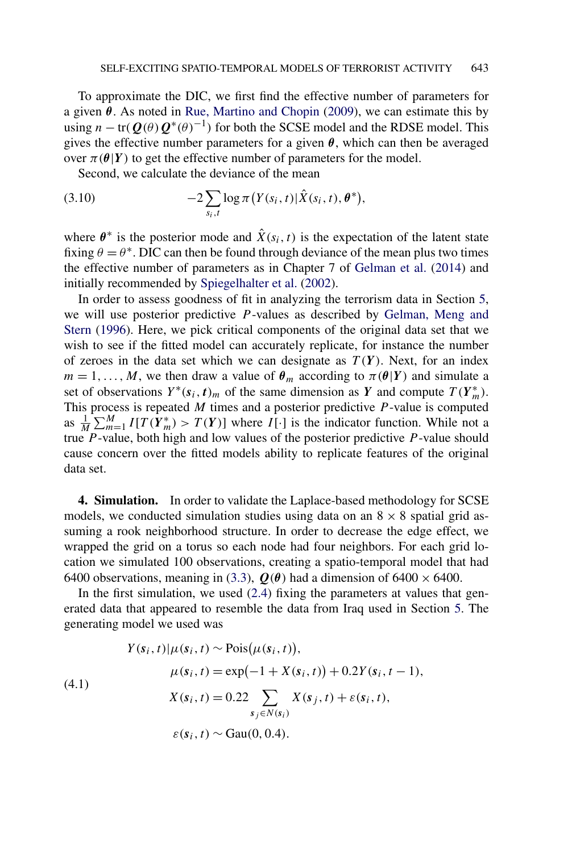To approximate the DIC, we first find the effective number of parameters for a given *θ*. As noted in [Rue, Martino and Chopin](#page-19-0) [\(2009\)](#page-19-0), we can estimate this by using  $n - tr(Q(\theta)Q^*(\theta)^{-1})$  for both the SCSE model and the RDSE model. This gives the effective number parameters for a given  $\theta$ , which can then be averaged over  $\pi$ ( $\theta$ |*Y*) to get the effective number of parameters for the model.

Second, we calculate the deviance of the mean

(3.10) 
$$
-2 \sum_{s_i,t} \log \pi(Y(s_i,t)|\hat{X}(s_i,t),\theta^*)
$$

where  $\theta^*$  is the posterior mode and  $\hat{X}(s_i, t)$  is the expectation of the latent state fixing  $\theta = \theta^*$ . DIC can then be found through deviance of the mean plus two times the effective number of parameters as in Chapter 7 of [Gelman et al.](#page-19-0) [\(2014\)](#page-19-0) and initially recommended by [Spiegelhalter et al.](#page-19-0) [\(2002\)](#page-19-0).

In order to assess goodness of fit in analyzing the terrorism data in Section [5,](#page-12-0) we will use posterior predictive *P* -values as described by [Gelman, Meng and](#page-18-0) [Stern](#page-18-0) [\(1996\)](#page-18-0). Here, we pick critical components of the original data set that we wish to see if the fitted model can accurately replicate, for instance the number of zeroes in the data set which we can designate as  $T(Y)$ . Next, for an index  $m = 1, \ldots, M$ , we then draw a value of  $\theta_m$  according to  $\pi(\theta|Y)$  and simulate a set of observations  $Y^*(s_i, t)_m$  of the same dimension as *Y* and compute  $T(Y^*_m)$ . This process is repeated *M* times and a posterior predictive *P* -value is computed as  $\frac{1}{M} \sum_{m=1}^{M} I[T(Y_m^*) > T(Y)]$  where  $I[\cdot]$  is the indicator function. While not a true *P* -value, both high and low values of the posterior predictive *P* -value should cause concern over the fitted models ability to replicate features of the original data set.

**4. Simulation.** In order to validate the Laplace-based methodology for SCSE models, we conducted simulation studies using data on an  $8 \times 8$  spatial grid assuming a rook neighborhood structure. In order to decrease the edge effect, we wrapped the grid on a torus so each node had four neighbors. For each grid location we simulated 100 observations, creating a spatio-temporal model that had 6400 observations, meaning in [\(3.3\)](#page-7-0),  $Q(\theta)$  had a dimension of 6400  $\times$  6400.

In the first simulation, we used  $(2.4)$  fixing the parameters at values that generated data that appeared to resemble the data from Iraq used in Section [5.](#page-12-0) The generating model we used was

(4.1)  
\n
$$
Y(s_i, t)|\mu(s_i, t) \sim \text{Pois}(\mu(s_i, t)),
$$
\n
$$
\mu(s_i, t) = \exp(-1 + X(s_i, t)) + 0.2Y(s_i, t - 1),
$$
\n
$$
X(s_i, t) = 0.22 \sum_{s_j \in N(s_i)} X(s_j, t) + \varepsilon(s_i, t),
$$
\n
$$
\varepsilon(s_i, t) \sim \text{Gau}(0, 0.4).
$$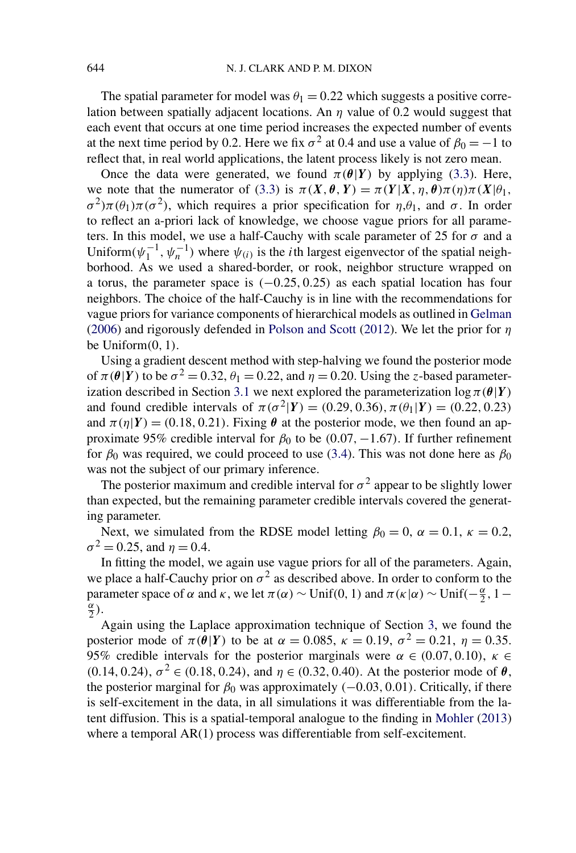The spatial parameter for model was  $\theta_1 = 0.22$  which suggests a positive correlation between spatially adjacent locations. An *η* value of 0.2 would suggest that each event that occurs at one time period increases the expected number of events at the next time period by 0.2. Here we fix  $\sigma^2$  at 0.4 and use a value of  $\beta_0 = -1$  to reflect that, in real world applications, the latent process likely is not zero mean.

Once the data were generated, we found  $\pi(\theta|Y)$  by applying [\(3.3\)](#page-7-0). Here, we note that the numerator of [\(3.3\)](#page-7-0) is  $\pi(X, \theta, Y) = \pi(Y|X, \eta, \theta)\pi(\eta)\pi(X|\theta)$ ,  $\sigma^2$ ) $\pi(\theta_1)\pi(\sigma^2)$ , which requires a prior specification for  $\eta$ ,  $\theta_1$ , and  $\sigma$ . In order to reflect an a-priori lack of knowledge, we choose vague priors for all parameters. In this model, we use a half-Cauchy with scale parameter of 25 for  $\sigma$  and a Uniform $(\psi_1^{-1}, \psi_n^{-1})$  where  $\psi_{(i)}$  is the *i*th largest eigenvector of the spatial neighborhood. As we used a shared-border, or rook, neighbor structure wrapped on a torus, the parameter space is *(*−0*.*25*,* 0*.*25*)* as each spatial location has four neighbors. The choice of the half-Cauchy is in line with the recommendations for vague priors for variance components of hierarchical models as outlined in [Gelman](#page-18-0) [\(2006\)](#page-18-0) and rigorously defended in [Polson and Scott](#page-19-0) [\(2012\)](#page-19-0). We let the prior for *η* be Uniform*(*0*,* 1*)*.

Using a gradient descent method with step-halving we found the posterior mode of  $\pi(\theta|Y)$  to be  $\sigma^2 = 0.32$ ,  $\theta_1 = 0.22$ , and  $\eta = 0.20$ . Using the *z*-based parameter-ization described in Section [3.1](#page-8-0) we next explored the parameterization  $\log \pi(\theta|Y)$ and found credible intervals of  $\pi(\sigma^2|Y) = (0.29, 0.36), \pi(\theta_1|Y) = (0.22, 0.23)$ and  $\pi(\eta|Y) = (0.18, 0.21)$ . Fixing  $\theta$  at the posterior mode, we then found an approximate 95% credible interval for  $\beta_0$  to be  $(0.07, -1.67)$ . If further refinement for  $\beta_0$  was required, we could proceed to use [\(3.4\)](#page-8-0). This was not done here as  $\beta_0$ was not the subject of our primary inference.

The posterior maximum and credible interval for  $\sigma^2$  appear to be slightly lower than expected, but the remaining parameter credible intervals covered the generating parameter.

Next, we simulated from the RDSE model letting  $\beta_0 = 0$ ,  $\alpha = 0.1$ ,  $\kappa = 0.2$ ,  $\sigma^2 = 0.25$ , and  $\eta = 0.4$ .

In fitting the model, we again use vague priors for all of the parameters. Again, we place a half-Cauchy prior on  $\sigma^2$  as described above. In order to conform to the parameter space of  $\alpha$  and  $\kappa$ , we let  $\pi(\alpha) \sim \text{Unif}(0, 1)$  and  $\pi(\kappa|\alpha) \sim \text{Unif}(-\frac{\alpha}{2}, 1-\frac{\alpha}{2})$  $\frac{\alpha}{2}$ .

Again using the Laplace approximation technique of Section [3,](#page-7-0) we found the posterior mode of  $\pi(\theta|Y)$  to be at  $\alpha = 0.085$ ,  $\kappa = 0.19$ ,  $\sigma^2 = 0.21$ ,  $\eta = 0.35$ . 95% credible intervals for the posterior marginals were  $\alpha \in (0.07, 0.10)$ ,  $\kappa \in$  $(0.14, 0.24), \sigma^2 \in (0.18, 0.24),$  and  $\eta \in (0.32, 0.40)$ . At the posterior mode of  $\theta$ , the posterior marginal for  $\beta_0$  was approximately  $(-0.03, 0.01)$ . Critically, if there is self-excitement in the data, in all simulations it was differentiable from the latent diffusion. This is a spatial-temporal analogue to the finding in [Mohler](#page-19-0) [\(2013\)](#page-19-0) where a temporal AR(1) process was differentiable from self-excitement.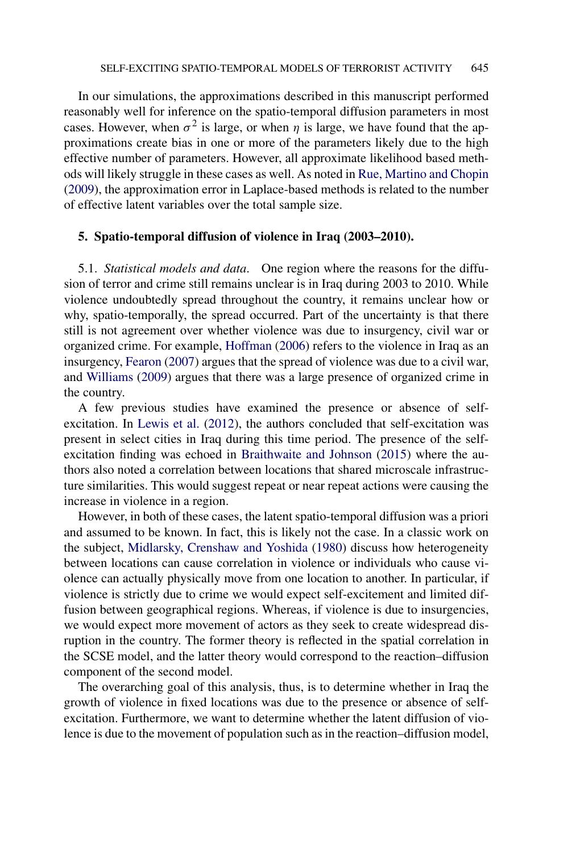<span id="page-12-0"></span>In our simulations, the approximations described in this manuscript performed reasonably well for inference on the spatio-temporal diffusion parameters in most cases. However, when  $\sigma^2$  is large, or when *η* is large, we have found that the approximations create bias in one or more of the parameters likely due to the high effective number of parameters. However, all approximate likelihood based methods will likely struggle in these cases as well. As noted in [Rue, Martino and Chopin](#page-19-0) [\(2009\)](#page-19-0), the approximation error in Laplace-based methods is related to the number of effective latent variables over the total sample size.

## **5. Spatio-temporal diffusion of violence in Iraq (2003–2010).**

5.1. *Statistical models and data*. One region where the reasons for the diffusion of terror and crime still remains unclear is in Iraq during 2003 to 2010. While violence undoubtedly spread throughout the country, it remains unclear how or why, spatio-temporally, the spread occurred. Part of the uncertainty is that there still is not agreement over whether violence was due to insurgency, civil war or organized crime. For example, [Hoffman](#page-19-0) [\(2006\)](#page-19-0) refers to the violence in Iraq as an insurgency, [Fearon](#page-18-0) [\(2007\)](#page-18-0) argues that the spread of violence was due to a civil war, and [Williams](#page-19-0) [\(2009\)](#page-19-0) argues that there was a large presence of organized crime in the country.

A few previous studies have examined the presence or absence of selfexcitation. In [Lewis et al.](#page-19-0) [\(2012\)](#page-19-0), the authors concluded that self-excitation was present in select cities in Iraq during this time period. The presence of the selfexcitation finding was echoed in [Braithwaite and Johnson](#page-18-0) [\(2015\)](#page-18-0) where the authors also noted a correlation between locations that shared microscale infrastructure similarities. This would suggest repeat or near repeat actions were causing the increase in violence in a region.

However, in both of these cases, the latent spatio-temporal diffusion was a priori and assumed to be known. In fact, this is likely not the case. In a classic work on the subject, [Midlarsky, Crenshaw and Yoshida](#page-19-0) [\(1980\)](#page-19-0) discuss how heterogeneity between locations can cause correlation in violence or individuals who cause violence can actually physically move from one location to another. In particular, if violence is strictly due to crime we would expect self-excitement and limited diffusion between geographical regions. Whereas, if violence is due to insurgencies, we would expect more movement of actors as they seek to create widespread disruption in the country. The former theory is reflected in the spatial correlation in the SCSE model, and the latter theory would correspond to the reaction–diffusion component of the second model.

The overarching goal of this analysis, thus, is to determine whether in Iraq the growth of violence in fixed locations was due to the presence or absence of selfexcitation. Furthermore, we want to determine whether the latent diffusion of violence is due to the movement of population such as in the reaction–diffusion model,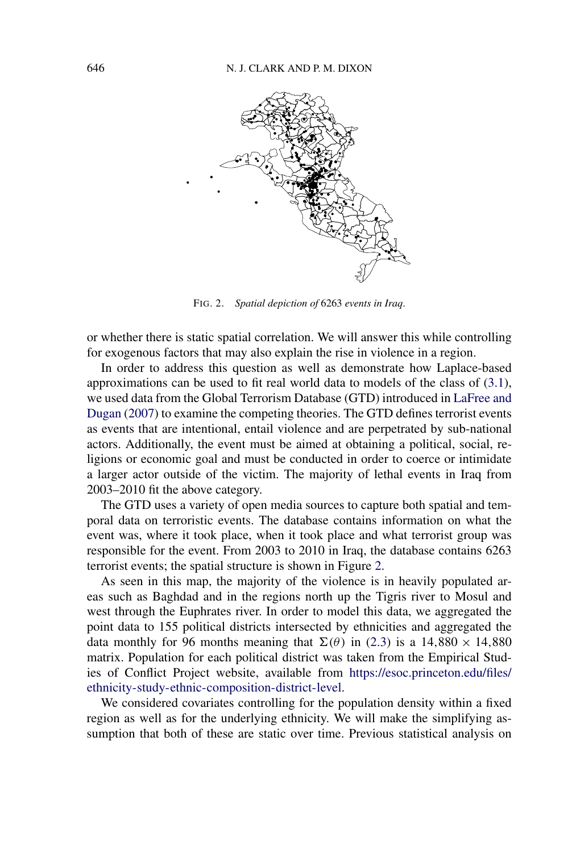

FIG. 2. *Spatial depiction of* 6263 *events in Iraq*.

or whether there is static spatial correlation. We will answer this while controlling for exogenous factors that may also explain the rise in violence in a region.

In order to address this question as well as demonstrate how Laplace-based approximations can be used to fit real world data to models of the class of [\(3.1\)](#page-7-0), we used data from the Global Terrorism Database (GTD) introduced in [LaFree and](#page-19-0) [Dugan](#page-19-0) [\(2007\)](#page-19-0) to examine the competing theories. The GTD defines terrorist events as events that are intentional, entail violence and are perpetrated by sub-national actors. Additionally, the event must be aimed at obtaining a political, social, religions or economic goal and must be conducted in order to coerce or intimidate a larger actor outside of the victim. The majority of lethal events in Iraq from 2003–2010 fit the above category.

The GTD uses a variety of open media sources to capture both spatial and temporal data on terroristic events. The database contains information on what the event was, where it took place, when it took place and what terrorist group was responsible for the event. From 2003 to 2010 in Iraq, the database contains 6263 terrorist events; the spatial structure is shown in Figure 2.

As seen in this map, the majority of the violence is in heavily populated areas such as Baghdad and in the regions north up the Tigris river to Mosul and west through the Euphrates river. In order to model this data, we aggregated the point data to 155 political districts intersected by ethnicities and aggregated the data monthly for 96 months meaning that  $\Sigma(\theta)$  in [\(2.3\)](#page-2-0) is a 14,880  $\times$  14,880 matrix. Population for each political district was taken from the Empirical Studies of Conflict Project website, available from [https://esoc.princeton.edu/files/](https://esoc.princeton.edu/files/ethnicity-study-ethnic-composition-district-level) [ethnicity-study-ethnic-composition-district-level](https://esoc.princeton.edu/files/ethnicity-study-ethnic-composition-district-level).

We considered covariates controlling for the population density within a fixed region as well as for the underlying ethnicity. We will make the simplifying assumption that both of these are static over time. Previous statistical analysis on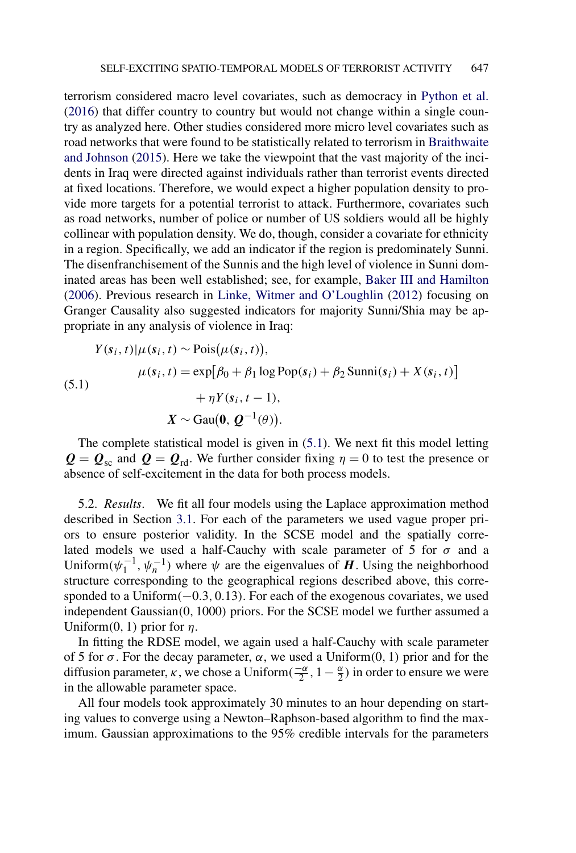terrorism considered macro level covariates, such as democracy in [Python et al.](#page-19-0) [\(2016\)](#page-19-0) that differ country to country but would not change within a single country as analyzed here. Other studies considered more micro level covariates such as road networks that were found to be statistically related to terrorism in [Braithwaite](#page-18-0) [and Johnson](#page-18-0) [\(2015\)](#page-18-0). Here we take the viewpoint that the vast majority of the incidents in Iraq were directed against individuals rather than terrorist events directed at fixed locations. Therefore, we would expect a higher population density to provide more targets for a potential terrorist to attack. Furthermore, covariates such as road networks, number of police or number of US soldiers would all be highly collinear with population density. We do, though, consider a covariate for ethnicity in a region. Specifically, we add an indicator if the region is predominately Sunni. The disenfranchisement of the Sunnis and the high level of violence in Sunni dominated areas has been well established; see, for example, [Baker III and Hamilton](#page-18-0) [\(2006\)](#page-18-0). Previous research in [Linke, Witmer and O'Loughlin](#page-19-0) [\(2012\)](#page-19-0) focusing on Granger Causality also suggested indicators for majority Sunni/Shia may be appropriate in any analysis of violence in Iraq:

(5.1)  
\n
$$
Y(s_i, t)|\mu(s_i, t) \sim \text{Pois}(\mu(s_i, t)),
$$
\n
$$
\mu(s_i, t) = \exp[\beta_0 + \beta_1 \log \text{Pop}(s_i) + \beta_2 \text{Sumn}(s_i) + X(s_i, t)] + \eta Y(s_i, t - 1),
$$
\n
$$
X \sim \text{Gau}(\mathbf{0}, \mathbf{Q}^{-1}(\theta)).
$$

The complete statistical model is given in (5.1). We next fit this model letting  $Q = Q_{\text{sc}}$  and  $Q = Q_{\text{rd}}$ . We further consider fixing  $\eta = 0$  to test the presence or absence of self-excitement in the data for both process models.

5.2. *Results*. We fit all four models using the Laplace approximation method described in Section [3.1.](#page-8-0) For each of the parameters we used vague proper priors to ensure posterior validity. In the SCSE model and the spatially correlated models we used a half-Cauchy with scale parameter of 5 for  $\sigma$  and a Uniform $(\psi_1^{-1}, \psi_n^{-1})$  where  $\psi$  are the eigenvalues of *H*. Using the neighborhood structure corresponding to the geographical regions described above, this corresponded to a Uniform*(*−0*.*3*,* 0*.*13*)*. For each of the exogenous covariates, we used independent Gaussian*(*0*,* 1000*)* priors. For the SCSE model we further assumed a Uniform $(0, 1)$  prior for  $\eta$ .

In fitting the RDSE model, we again used a half-Cauchy with scale parameter of 5 for  $\sigma$ . For the decay parameter,  $\alpha$ , we used a Uniform(0, 1) prior and for the diffusion parameter, *κ*, we chose a Uniform $(\frac{-\alpha}{2}, 1 - \frac{\alpha}{2})$  in order to ensure we were in the allowable parameter space.

All four models took approximately 30 minutes to an hour depending on starting values to converge using a Newton–Raphson-based algorithm to find the maximum. Gaussian approximations to the 95% credible intervals for the parameters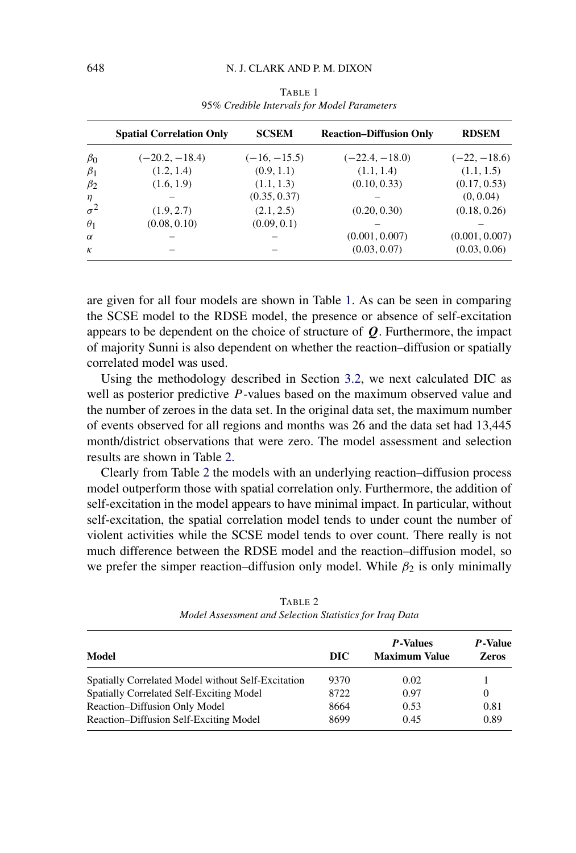<span id="page-15-0"></span>

|            | <b>Spatial Correlation Only</b> | <b>SCSEM</b>   | <b>Reaction–Diffusion Only</b> | <b>RDSEM</b>   |
|------------|---------------------------------|----------------|--------------------------------|----------------|
| $\beta_0$  | $(-20.2, -18.4)$                | $(-16, -15.5)$ | $(-22.4, -18.0)$               | $(-22, -18.6)$ |
| $\beta_1$  | (1.2, 1.4)                      | (0.9, 1.1)     | (1.1, 1.4)                     | (1.1, 1.5)     |
| $\beta_2$  | (1.6, 1.9)                      | (1.1, 1.3)     | (0.10, 0.33)                   | (0.17, 0.53)   |
| $\eta$     |                                 | (0.35, 0.37)   |                                | (0, 0.04)      |
| $\sigma^2$ | (1.9, 2.7)                      | (2.1, 2.5)     | (0.20, 0.30)                   | (0.18, 0.26)   |
| $\theta_1$ | (0.08, 0.10)                    | (0.09, 0.1)    |                                |                |
| $\alpha$   |                                 |                | (0.001, 0.007)                 | (0.001, 0.007) |
| $\kappa$   |                                 |                | (0.03, 0.07)                   | (0.03, 0.06)   |

TABLE 1 95*% Credible Intervals for Model Parameters*

are given for all four models are shown in Table 1. As can be seen in comparing the SCSE model to the RDSE model, the presence or absence of self-excitation appears to be dependent on the choice of structure of *Q*. Furthermore, the impact of majority Sunni is also dependent on whether the reaction–diffusion or spatially correlated model was used.

Using the methodology described in Section [3.2,](#page-9-0) we next calculated DIC as well as posterior predictive *P* -values based on the maximum observed value and the number of zeroes in the data set. In the original data set, the maximum number of events observed for all regions and months was 26 and the data set had 13,445 month/district observations that were zero. The model assessment and selection results are shown in Table 2.

Clearly from Table 2 the models with an underlying reaction–diffusion process model outperform those with spatial correlation only. Furthermore, the addition of self-excitation in the model appears to have minimal impact. In particular, without self-excitation, the spatial correlation model tends to under count the number of violent activities while the SCSE model tends to over count. There really is not much difference between the RDSE model and the reaction–diffusion model, so we prefer the simper reaction–diffusion only model. While  $\beta_2$  is only minimally

| Model                                              | DIC  | P-Values<br><b>Maximum Value</b> | <i>P</i> -Value<br><b>Zeros</b> |
|----------------------------------------------------|------|----------------------------------|---------------------------------|
| Spatially Correlated Model without Self-Excitation | 9370 | 0.02                             |                                 |
| Spatially Correlated Self-Exciting Model           | 8722 | 0.97                             | $\theta$                        |
| Reaction-Diffusion Only Model                      | 8664 | 0.53                             | 0.81                            |
| Reaction-Diffusion Self-Exciting Model             | 8699 | 0.45                             | 0.89                            |

TABLE 2 *Model Assessment and Selection Statistics for Iraq Data*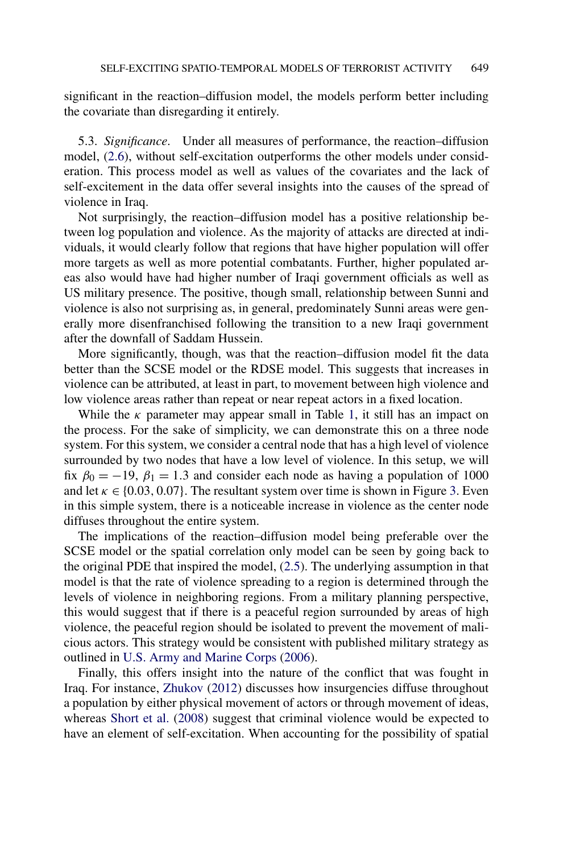significant in the reaction–diffusion model, the models perform better including the covariate than disregarding it entirely.

5.3. *Significance*. Under all measures of performance, the reaction–diffusion model, [\(2.6\)](#page-5-0), without self-excitation outperforms the other models under consideration. This process model as well as values of the covariates and the lack of self-excitement in the data offer several insights into the causes of the spread of violence in Iraq.

Not surprisingly, the reaction–diffusion model has a positive relationship between log population and violence. As the majority of attacks are directed at individuals, it would clearly follow that regions that have higher population will offer more targets as well as more potential combatants. Further, higher populated areas also would have had higher number of Iraqi government officials as well as US military presence. The positive, though small, relationship between Sunni and violence is also not surprising as, in general, predominately Sunni areas were generally more disenfranchised following the transition to a new Iraqi government after the downfall of Saddam Hussein.

More significantly, though, was that the reaction–diffusion model fit the data better than the SCSE model or the RDSE model. This suggests that increases in violence can be attributed, at least in part, to movement between high violence and low violence areas rather than repeat or near repeat actors in a fixed location.

While the  $\kappa$  parameter may appear small in Table [1,](#page-15-0) it still has an impact on the process. For the sake of simplicity, we can demonstrate this on a three node system. For this system, we consider a central node that has a high level of violence surrounded by two nodes that have a low level of violence. In this setup, we will fix  $\beta_0 = -19$ ,  $\beta_1 = 1.3$  and consider each node as having a population of 1000 and let  $\kappa \in \{0.03, 0.07\}$ . The resultant system over time is shown in Figure [3.](#page-17-0) Even in this simple system, there is a noticeable increase in violence as the center node diffuses throughout the entire system.

The implications of the reaction–diffusion model being preferable over the SCSE model or the spatial correlation only model can be seen by going back to the original PDE that inspired the model, [\(2.5\)](#page-4-0). The underlying assumption in that model is that the rate of violence spreading to a region is determined through the levels of violence in neighboring regions. From a military planning perspective, this would suggest that if there is a peaceful region surrounded by areas of high violence, the peaceful region should be isolated to prevent the movement of malicious actors. This strategy would be consistent with published military strategy as outlined in [U.S. Army and Marine Corps](#page-19-0) [\(2006\)](#page-19-0).

Finally, this offers insight into the nature of the conflict that was fought in Iraq. For instance, [Zhukov](#page-19-0) [\(2012\)](#page-19-0) discusses how insurgencies diffuse throughout a population by either physical movement of actors or through movement of ideas, whereas [Short et al.](#page-19-0) [\(2008\)](#page-19-0) suggest that criminal violence would be expected to have an element of self-excitation. When accounting for the possibility of spatial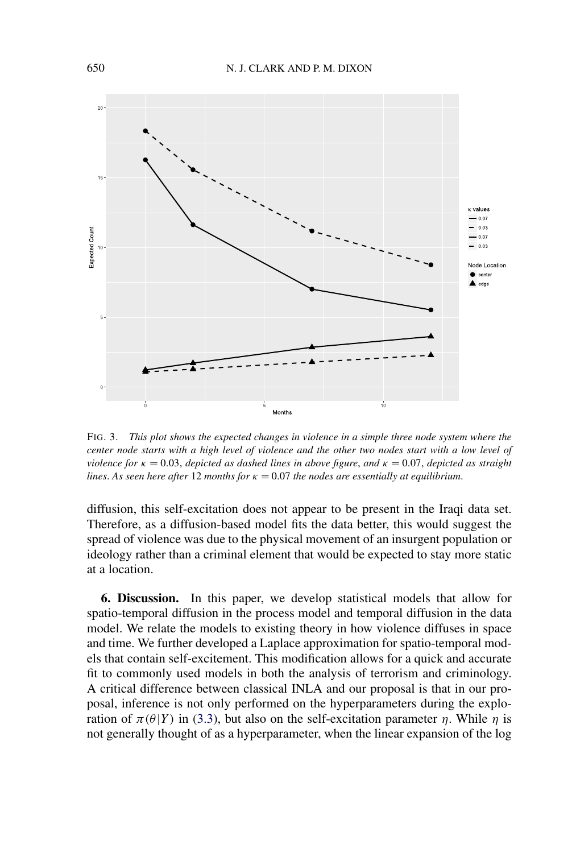<span id="page-17-0"></span>

FIG. 3. *This plot shows the expected changes in violence in a simple three node system where the center node starts with a high level of violence and the other two nodes start with a low level of violence for*  $\kappa = 0.03$ , *depicted as dashed lines in above figure*, *and*  $\kappa = 0.07$ , *depicted as straight lines. As seen here after* 12 *months for*  $\kappa = 0.07$  *the nodes are essentially at equilibrium.* 

diffusion, this self-excitation does not appear to be present in the Iraqi data set. Therefore, as a diffusion-based model fits the data better, this would suggest the spread of violence was due to the physical movement of an insurgent population or ideology rather than a criminal element that would be expected to stay more static at a location.

**6. Discussion.** In this paper, we develop statistical models that allow for spatio-temporal diffusion in the process model and temporal diffusion in the data model. We relate the models to existing theory in how violence diffuses in space and time. We further developed a Laplace approximation for spatio-temporal models that contain self-excitement. This modification allows for a quick and accurate fit to commonly used models in both the analysis of terrorism and criminology. A critical difference between classical INLA and our proposal is that in our proposal, inference is not only performed on the hyperparameters during the exploration of *π(θ*|*Y)* in [\(3.3\)](#page-7-0), but also on the self-excitation parameter *η*. While *η* is not generally thought of as a hyperparameter, when the linear expansion of the log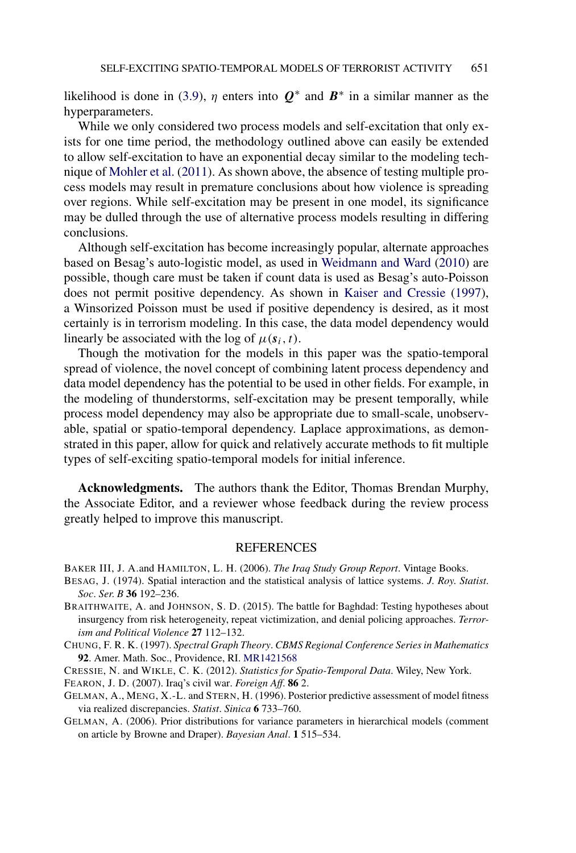<span id="page-18-0"></span>likelihood is done in [\(3.9\)](#page-9-0),  $\eta$  enters into  $Q^*$  and  $B^*$  in a similar manner as the hyperparameters.

While we only considered two process models and self-excitation that only exists for one time period, the methodology outlined above can easily be extended to allow self-excitation to have an exponential decay similar to the modeling technique of [Mohler et al.](#page-19-0) [\(2011\)](#page-19-0). As shown above, the absence of testing multiple process models may result in premature conclusions about how violence is spreading over regions. While self-excitation may be present in one model, its significance may be dulled through the use of alternative process models resulting in differing conclusions.

Although self-excitation has become increasingly popular, alternate approaches based on Besag's auto-logistic model, as used in [Weidmann and Ward](#page-19-0) [\(2010\)](#page-19-0) are possible, though care must be taken if count data is used as Besag's auto-Poisson does not permit positive dependency. As shown in [Kaiser and Cressie](#page-19-0) [\(1997\)](#page-19-0), a Winsorized Poisson must be used if positive dependency is desired, as it most certainly is in terrorism modeling. In this case, the data model dependency would linearly be associated with the log of  $\mu(s_i, t)$ .

Though the motivation for the models in this paper was the spatio-temporal spread of violence, the novel concept of combining latent process dependency and data model dependency has the potential to be used in other fields. For example, in the modeling of thunderstorms, self-excitation may be present temporally, while process model dependency may also be appropriate due to small-scale, unobservable, spatial or spatio-temporal dependency. Laplace approximations, as demonstrated in this paper, allow for quick and relatively accurate methods to fit multiple types of self-exciting spatio-temporal models for initial inference.

**Acknowledgments.** The authors thank the Editor, Thomas Brendan Murphy, the Associate Editor, and a reviewer whose feedback during the review process greatly helped to improve this manuscript.

## REFERENCES

BAKER III, J. A.and HAMILTON, L. H. (2006). *The Iraq Study Group Report*. Vintage Books.

- BESAG, J. (1974). Spatial interaction and the statistical analysis of lattice systems. *J*. *Roy*. *Statist*. *Soc*. *Ser*. *B* **36** 192–236.
- BRAITHWAITE, A. and JOHNSON, S. D. (2015). The battle for Baghdad: Testing hypotheses about insurgency from risk heterogeneity, repeat victimization, and denial policing approaches. *Terrorism and Political Violence* **27** 112–132.
- CHUNG, F. R. K. (1997). *Spectral Graph Theory*. *CBMS Regional Conference Series in Mathematics* **92**. Amer. Math. Soc., Providence, RI. [MR1421568](http://www.ams.org/mathscinet-getitem?mr=1421568)

CRESSIE, N. and WIKLE, C. K. (2012). *Statistics for Spatio-Temporal Data*. Wiley, New York.

FEARON, J. D. (2007). Iraq's civil war. *Foreign Aff*. **86** 2.

- GELMAN, A., MENG, X.-L. and STERN, H. (1996). Posterior predictive assessment of model fitness via realized discrepancies. *Statist*. *Sinica* **6** 733–760.
- GELMAN, A. (2006). Prior distributions for variance parameters in hierarchical models (comment on article by Browne and Draper). *Bayesian Anal*. **1** 515–534.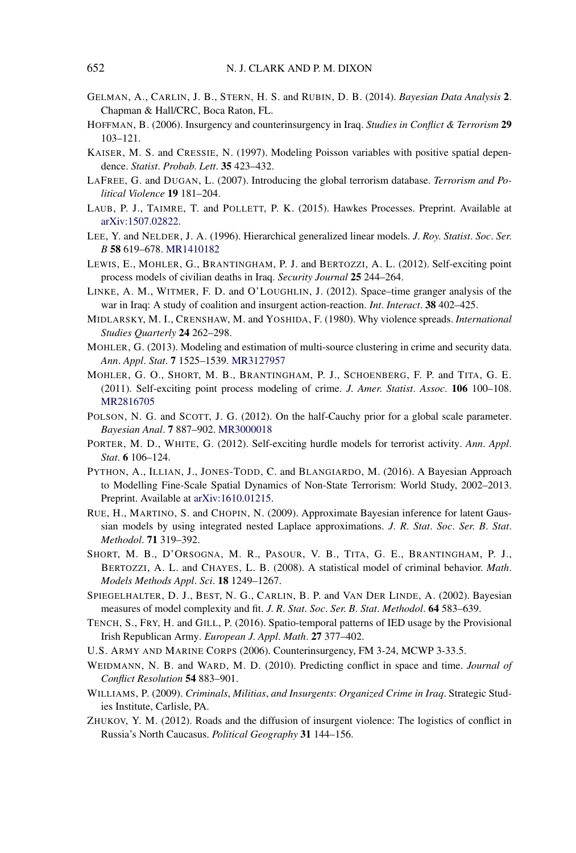- <span id="page-19-0"></span>GELMAN, A., CARLIN, J. B., STERN, H. S. and RUBIN, D. B. (2014). *Bayesian Data Analysis* **2**. Chapman & Hall/CRC, Boca Raton, FL.
- HOFFMAN, B. (2006). Insurgency and counterinsurgency in Iraq. *Studies in Conflict & Terrorism* **29** 103–121.
- KAISER, M. S. and CRESSIE, N. (1997). Modeling Poisson variables with positive spatial dependence. *Statist*. *Probab*. *Lett*. **35** 423–432.
- LAFREE, G. and DUGAN, L. (2007). Introducing the global terrorism database. *Terrorism and Political Violence* **19** 181–204.
- LAUB, P. J., TAIMRE, T. and POLLETT, P. K. (2015). Hawkes Processes. Preprint. Available at [arXiv:1507.02822.](http://arxiv.org/abs/arXiv:1507.02822)
- LEE, Y. and NELDER, J. A. (1996). Hierarchical generalized linear models. *J*. *Roy*. *Statist*. *Soc*. *Ser*. *B* **58** 619–678. [MR1410182](http://www.ams.org/mathscinet-getitem?mr=1410182)
- LEWIS, E., MOHLER, G., BRANTINGHAM, P. J. and BERTOZZI, A. L. (2012). Self-exciting point process models of civilian deaths in Iraq. *Security Journal* **25** 244–264.
- LINKE, A. M., WITMER, F. D. and O'LOUGHLIN, J. (2012). Space–time granger analysis of the war in Iraq: A study of coalition and insurgent action-reaction. *Int*. *Interact*. **38** 402–425.
- MIDLARSKY, M. I., CRENSHAW, M. and YOSHIDA, F. (1980). Why violence spreads. *International Studies Quarterly* **24** 262–298.
- MOHLER, G. (2013). Modeling and estimation of multi-source clustering in crime and security data. *Ann*. *Appl*. *Stat*. **7** 1525–1539. [MR3127957](http://www.ams.org/mathscinet-getitem?mr=3127957)
- MOHLER, G. O., SHORT, M. B., BRANTINGHAM, P. J., SCHOENBERG, F. P. and TITA, G. E. (2011). Self-exciting point process modeling of crime. *J*. *Amer*. *Statist*. *Assoc*. **106** 100–108. [MR2816705](http://www.ams.org/mathscinet-getitem?mr=2816705)
- POLSON, N. G. and SCOTT, J. G. (2012). On the half-Cauchy prior for a global scale parameter. *Bayesian Anal*. **7** 887–902. [MR3000018](http://www.ams.org/mathscinet-getitem?mr=3000018)
- PORTER, M. D., WHITE, G. (2012). Self-exciting hurdle models for terrorist activity. *Ann*. *Appl*. *Stat*. **6** 106–124.
- PYTHON, A., ILLIAN, J., JONES-TODD, C. and BLANGIARDO, M. (2016). A Bayesian Approach to Modelling Fine-Scale Spatial Dynamics of Non-State Terrorism: World Study, 2002–2013. Preprint. Available at [arXiv:1610.01215.](http://arxiv.org/abs/arXiv:1610.01215)
- RUE, H., MARTINO, S. and CHOPIN, N. (2009). Approximate Bayesian inference for latent Gaussian models by using integrated nested Laplace approximations. *J*. *R*. *Stat*. *Soc*. *Ser*. *B*. *Stat*. *Methodol*. **71** 319–392.
- SHORT, M. B., D'ORSOGNA, M. R., PASOUR, V. B., TITA, G. E., BRANTINGHAM, P. J., BERTOZZI, A. L. and CHAYES, L. B. (2008). A statistical model of criminal behavior. *Math*. *Models Methods Appl*. *Sci*. **18** 1249–1267.
- SPIEGELHALTER, D. J., BEST, N. G., CARLIN, B. P. and VAN DER LINDE, A. (2002). Bayesian measures of model complexity and fit. *J*. *R*. *Stat*. *Soc*. *Ser*. *B*. *Stat*. *Methodol*. **64** 583–639.
- TENCH, S., FRY, H. and GILL, P. (2016). Spatio-temporal patterns of IED usage by the Provisional Irish Republican Army. *European J*. *Appl*. *Math*. **27** 377–402.
- U.S. ARMY AND MARINE CORPS (2006). Counterinsurgency, FM 3-24, MCWP 3-33.5.
- WEIDMANN, N. B. and WARD, M. D. (2010). Predicting conflict in space and time. *Journal of Conflict Resolution* **54** 883–901.
- WILLIAMS, P. (2009). *Criminals*, *Militias*, *and Insurgents*: *Organized Crime in Iraq*. Strategic Studies Institute, Carlisle, PA.
- ZHUKOV, Y. M. (2012). Roads and the diffusion of insurgent violence: The logistics of conflict in Russia's North Caucasus. *Political Geography* **31** 144–156.